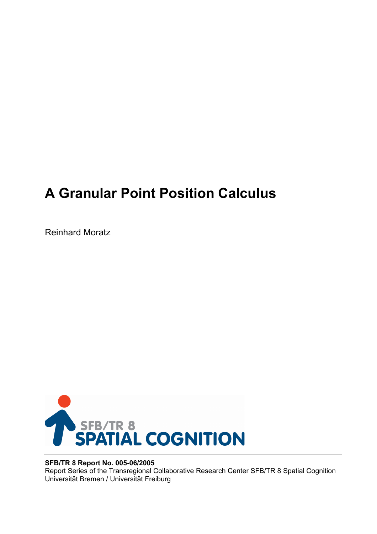# **A Granular Point Position Calculus**

Reinhard Moratz



## **SFB/TR 8 Report No. 005-06/2005**

Report Series of the Transregional Collaborative Research Center SFB/TR 8 Spatial Cognition Universität Bremen / Universität Freiburg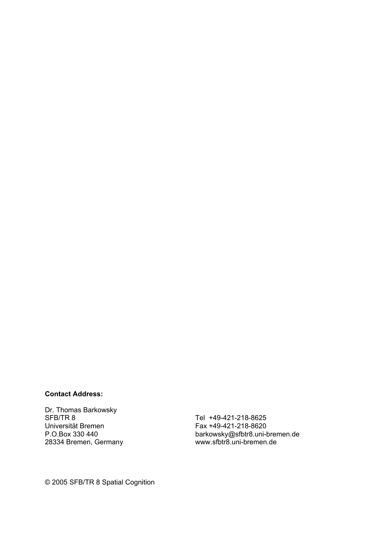#### **Contact Address:**

Dr. Thomas Barkowsky SFB/TR 8 Universität Bremen P.O.Box 330 440 28334 Bremen, Germany

Tel +49-421-218-8625 Fax +49-421-218-8620 barkowsky@sfbtr8.uni-bremen.de www.sfbtr8.uni-bremen.de

© 2005 SFB/TR 8 Spatial Cognition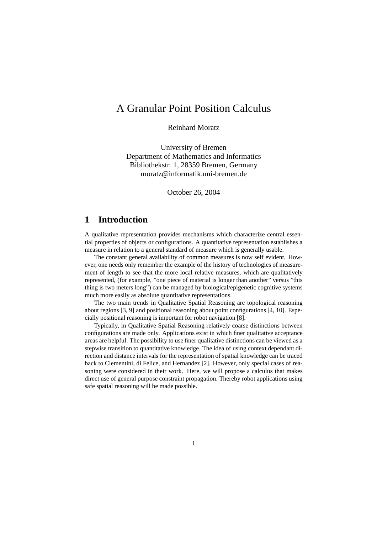# A Granular Point Position Calculus

Reinhard Moratz

University of Bremen Department of Mathematics and Informatics Bibliothekstr. 1, 28359 Bremen, Germany moratz@informatik.uni-bremen.de

October 26, 2004

## **1 Introduction**

A qualitative representation provides mechanisms which characterize central essential properties of objects or configurations. A quantitative representation establishes a measure in relation to a general standard of measure which is generally usable.

The constant general availability of common measures is now self evident. However, one needs only remember the example of the history of technologies of measurement of length to see that the more local relative measures, which are qualitatively represented, (for example, "one piece of material is longer than another" versus "this thing is two meters long") can be managed by biological/epigenetic cognitive systems much more easily as absolute quantitative representations.

The two main trends in Qualitative Spatial Reasoning are topological reasoning about regions [3, 9] and positional reasoning about point configurations [4, 10]. Especially positional reasoning is important for robot navigation [8].

Typically, in Qualitative Spatial Reasoning relatively coarse distinctions between configurations are made only. Applications exist in which finer qualitative acceptance areas are helpful. The possibility to use finer qualitative distinctions can be viewed as a stepwise transition to quantitative knowledge. The idea of using context dependant direction and distance intervals for the representation of spatial knowledge can be traced back to Clementini, di Felice, and Hernandez [2]. However, only special cases of reasoning were considered in their work. Here, we will propose a calculus that makes direct use of general purpose constraint propagation. Thereby robot applications using safe spatial reasoning will be made possible.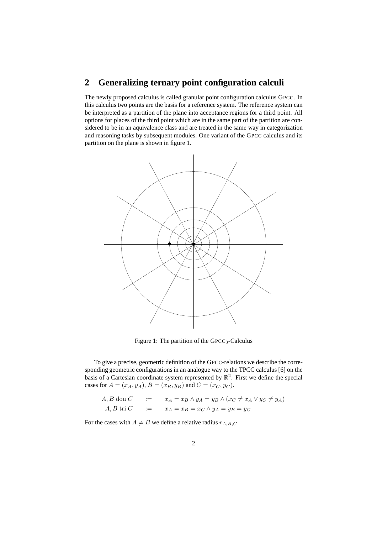# **2 Generalizing ternary point configuration calculi**

The newly proposed calculus is called granular point configuration calculus GPCC. In this calculus two points are the basis for a reference system. The reference system can be interpreted as a partition of the plane into acceptance regions for a third point. All options for places of the third point which are in the same part of the partition are considered to be in an aquivalence class and are treated in the same way in categorization and reasoning tasks by subsequent modules. One variant of the GPCC calculus and its partition on the plane is shown in figure 1.



Figure 1: The partition of the GPCC<sub>3</sub>-Calculus

To give a precise, geometric definition of the GPCC-relations we describe the corresponding geometric configurations in an analogue way to the TPCC calculus [6] on the basis of a Cartesian coordinate system represented by  $\mathbb{R}^2$ . First we define the special cases for  $A = (x_A, y_A)$ ,  $B = (x_B, y_B)$  and  $C = (x_C, y_C)$ .

A, B dou C := 
$$
x_A = x_B \land y_A = y_B \land (x_C \neq x_A \lor y_C \neq y_A)
$$
  
A, B tri C :=  $x_A = x_B = x_C \land y_A = y_B = y_C$ 

For the cases with  $A \neq B$  we define a relative radius  $r_{A,B,C}$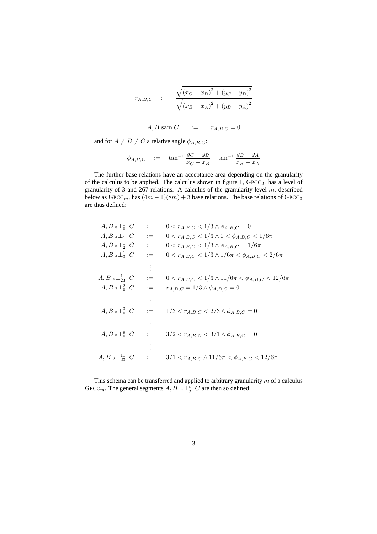$$
r_{A,B,C} := \frac{\sqrt{(x_C - x_B)^2 + (y_C - y_B)^2}}{\sqrt{(x_B - x_A)^2 + (y_B - y_A)^2}}
$$

A, B sam  $C$  :=  $r_{A,B,C} = 0$ 

and for  $A \neq B \neq C$  a relative angle  $\phi_{A,B,C}$ :

$$
\phi_{A,B,C}
$$
 :=  $\tan^{-1} \frac{y_C - y_B}{x_C - x_B} - \tan^{-1} \frac{y_B - y_A}{x_B - x_A}$ 

The further base relations have an acceptance area depending on the granularity of the calculus to be applied. The calculus shown in figure 1, GPCC3, has a level of granularity of 3 and 267 relations. A calculus of the granularity level  $m$ , described below as  $Gpec<sub>m</sub>$ , has  $(4m - 1)(8m) + 3$  base relations. The base relations of  $Gpec<sub>3</sub>$ are thus defined:

| $A, B \ {}_3 \perp^1_0 \ C$                 | $:=$     | $0 < r_{A,B,C} < 1/3 \wedge \phi_{A,B,C} = 0$                 |
|---------------------------------------------|----------|---------------------------------------------------------------|
| $A, B \, \mathbf{1} \perp_1^1 C$            | $:=$     | $0 < r_{A,B,C} < 1/3 \wedge 0 < \phi_{A,B,C} < 1/6\pi$        |
| $A, B \, \mathbf{1} \perp_2^1 C$            | $:=$     | $0 < r_{A,B,C} < 1/3 \wedge \phi_{A,B,C} = 1/6\pi$            |
| $A, B \, \mathbf{1} \, \frac{1}{3} \, C$    | $:=$     | $0 < r_{A,B,C} < 1/3 \wedge 1/6\pi < \phi_{A,B,C} < 2/6\pi$   |
|                                             | $\vdots$ |                                                               |
| $A, B \ {}_{3}\perp_{23}^{1} C$             | $:=$     | $0 < r_{A,B,C} < 1/3 \wedge 11/6\pi < \phi_{A,B,C} < 12/6\pi$ |
| $A, B \, \mathbf{1} \, \mathbf{1}_0^2 \, C$ | $:=$     | $r_{A,B,C} = 1/3 \wedge \phi_{A,B,C} = 0$                     |
|                                             | ÷        |                                                               |
| $A, B \, \mathbf{1} \, \mathbf{1}_0^3 \, C$ | $:=$     | $1/3 < r_{A,B,C} < 2/3 \wedge \phi_{A,B,C} = 0$               |
|                                             |          |                                                               |
| $A, B \, \mathbf{1} \, \mathbf{1}_0^9 \, C$ | $:=$     | $3/2 < r_{A,B,C} < 3/1 \wedge \phi_{A,B,C} = 0$               |
|                                             |          |                                                               |
| $A, B \ {}_{3}\perp_{23}^{11} \ C$          |          | $3/1 < r_{A,B,C} \wedge 11/6\pi < \phi_{A,B,C} < 12/6\pi$     |
|                                             |          |                                                               |

This schema can be transferred and applied to arbitrary granularity  $m$  of a calculus GPCC<sub>m</sub>. The general segments  $A, B \in \perp_j^i$  C are then so defined: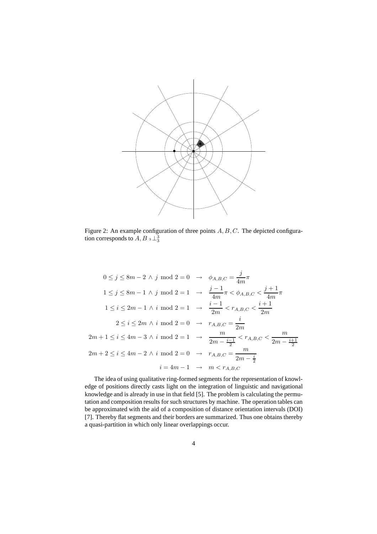

Figure 2: An example configuration of three points  $A, B, C$ . The depicted configuration corresponds to  $A, B$   $_3$   $\perp_3^3$ 

$$
0 \le j \le 8m - 2 \land j \mod 2 = 0 \rightarrow \phi_{A,B,C} = \frac{j}{4m}\pi
$$
  
\n
$$
1 \le j \le 8m - 1 \land j \mod 2 = 1 \rightarrow \frac{j-1}{4m}\pi < \phi_{A,B,C} < \frac{j+1}{4m}\pi
$$
  
\n
$$
1 \le i \le 2m - 1 \land i \mod 2 = 1 \rightarrow \frac{i-1}{2m} < r_{A,B,C} < \frac{i+1}{2m}
$$
  
\n
$$
2 \le i \le 2m \land i \mod 2 = 0 \rightarrow r_{A,B,C} = \frac{i}{2m}
$$
  
\n
$$
2m + 1 \le i \le 4m - 3 \land i \mod 2 = 1 \rightarrow \frac{m}{2m - \frac{i-1}{2}} < r_{A,B,C} < \frac{m}{2m - \frac{i+1}{2}}
$$
  
\n
$$
2m + 2 \le i \le 4m - 2 \land i \mod 2 = 0 \rightarrow r_{A,B,C} = \frac{m}{2m - \frac{i}{2}}
$$
  
\n
$$
i = 4m - 1 \rightarrow m < r_{A,B,C}
$$

The idea of using qualitative ring-formed segments for the representation of knowledge of positions directly casts light on the integration of linguistic and navigational knowledge and is already in use in that field [5]. The problem is calculating the permutation and composition results for such structures by machine. The operation tables can be approximated with the aid of a composition of distance orientation intervals (DOI) [7]. Thereby flat segments and their borders are summarized. Thus one obtains thereby a quasi-partition in which only linear overlappings occur.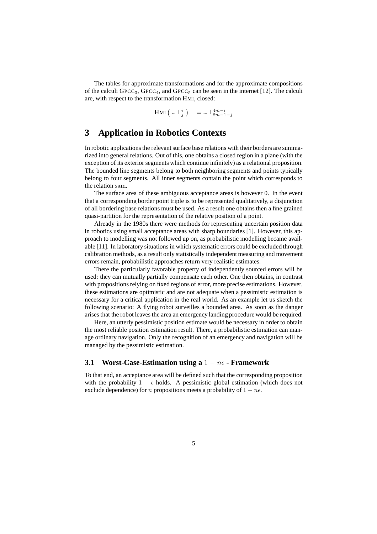The tables for approximate transformations and for the approximate compositions of the calculi  $GPCC_3$ ,  $GPCC_4$ , and  $GPCC_5$  can be seen in the internet [12]. The calculi are, with respect to the transformation HMI, closed:

 $\text{HMI}\left( \begin{array}{c} m \perp^i_j \end{array} \right) \quad = m \perp^{4m-i}_{8m-1-j}$ 

# **3 Application in Robotics Contexts**

In robotic applications the relevant surface base relations with their borders are summarized into general relations. Out of this, one obtains a closed region in a plane (with the exception of its exterior segments which continue infinitely) as a relational proposition. The bounded line segments belong to both neighboring segments and points typically belong to four segments. All inner segments contain the point which corresponds to the relation sam.

The surface area of these ambiguous acceptance areas is however 0. In the event that a corresponding border point triple is to be represented qualitatively, a disjunction of all bordering base relations must be used. As a result one obtains then a fine grained quasi-partition for the representation of the relative position of a point.

Already in the 1980s there were methods for representing uncertain position data in robotics using small acceptance areas with sharp boundaries [1]. However, this approach to modelling was not followed up on, as probabilistic modelling became available [11]. In laboratory situations in which systematic errors could be excluded through calibration methods, as a result only statistically independent measuring and movement errors remain, probabilistic approaches return very realistic estimates.

There the particularly favorable property of independently sourced errors will be used: they can mutually partially compensate each other. One then obtains, in contrast with propositions relying on fixed regions of error, more precise estimations. However, these estimations are optimistic and are not adequate when a pessimistic estimation is necessary for a critical application in the real world. As an example let us sketch the following scenario: A flying robot surveilles a bounded area. As soon as the danger arises that the robot leaves the area an emergency landing procedure would be required.

Here, an utterly pessimistic position estimate would be necessary in order to obtain the most reliable position estimation result. There, a probabilistic estimation can manage ordinary navigation. Only the recognition of an emergency and navigation will be managed by the pessimistic estimation.

#### **3.1 Worst-Case-Estimation using a** 1 − nǫ **- Framework**

To that end, an acceptance area will be defined such that the corresponding proposition with the probability 1 –  $\epsilon$  holds. A pessimistic global estimation (which does not exclude dependence) for n propositions meets a probability of  $1 - n\epsilon$ .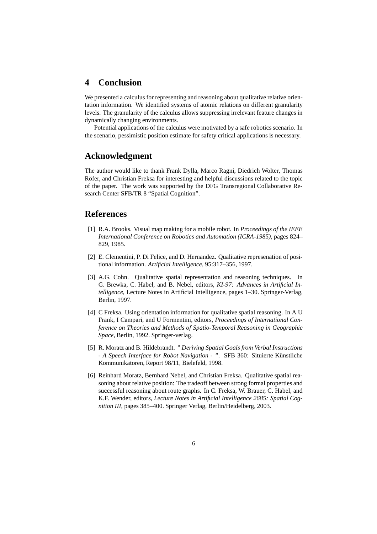### **4 Conclusion**

We presented a calculus for representing and reasoning about qualitative relative orientation information. We identified systems of atomic relations on different granularity levels. The granularity of the calculus allows suppressing irrelevant feature changes in dynamically changing environments.

Potential applications of the calculus were motivated by a safe robotics scenario. In the scenario, pessimistic position estimate for safety critical applications is necessary.

#### **Acknowledgment**

The author would like to thank Frank Dylla, Marco Ragni, Diedrich Wolter, Thomas Röfer, and Christian Freksa for interesting and helpful discussions related to the topic of the paper. The work was supported by the DFG Transregional Collaborative Research Center SFB/TR 8 "Spatial Cognition".

#### **References**

- [1] R.A. Brooks. Visual map making for a mobile robot. In *Proceedings of the IEEE International Conference on Robotics and Automation (ICRA-1985)*, pages 824– 829, 1985.
- [2] E. Clementini, P. Di Felice, and D. Hernandez. Qualitative represenation of positional information. *Artificial Intelligence*, 95:317–356, 1997.
- [3] A.G. Cohn. Qualitative spatial representation and reasoning techniques. In G. Brewka, C. Habel, and B. Nebel, editors, *KI-97: Advances in Artificial Intelligence*, Lecture Notes in Artificial Intelligence, pages 1–30. Springer-Verlag, Berlin, 1997.
- [4] C Freksa. Using orientation information for qualitative spatial reasoning. In A U Frank, I Campari, and U Formentini, editors, *Proceedings of International Conference on Theories and Methods of Spatio-Temporal Reasoning in Geographic Space*, Berlin, 1992. Springer-verlag.
- [5] R. Moratz and B. Hildebrandt. *" Deriving Spatial Goals from Verbal Instructions - A Speech Interface for Robot Navigation - ". SFB 360: Situierte Künstliche* Kommunikatoren, Report 98/11, Bielefeld, 1998.
- [6] Reinhard Moratz, Bernhard Nebel, and Christian Freksa. Qualitative spatial reasoning about relative position: The tradeoff between strong formal properties and successful reasoning about route graphs. In C. Freksa, W. Brauer, C. Habel, and K.F. Wender, editors, *Lecture Notes in Artificial Intelligence 2685: Spatial Cognition III*, pages 385–400. Springer Verlag, Berlin/Heidelberg, 2003.